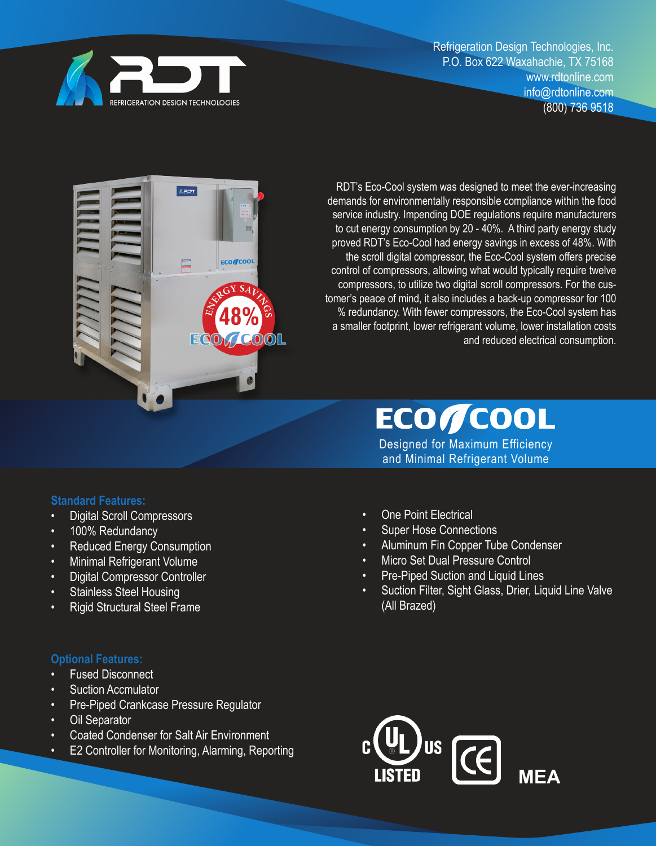

Refrigeration Design Technologies, Inc. P.O. Box 622 Waxahachie, TX 75168 www.rdtonline.com info@rdtonline.com (800) 736 9518



RDT's Eco-Cool system was designed to meet the ever-increasing demands for environmentally responsible compliance within the food service industry. Impending DOE regulations require manufacturers to cut energy consumption by 20 - 40%. A third party energy study proved RDT's Eco-Cool had energy savings in excess of 48%. With the scroll digital compressor, the Eco-Cool system offers precise control of compressors, allowing what would typically require twelve compressors, to utilize two digital scroll compressors. For the customer's peace of mind, it also includes a back-up compressor for 100 % redundancy. With fewer compressors, the Eco-Cool system has a smaller footprint, lower refrigerant volume, lower installation costs and reduced electrical consumption.

# **ECOYCOOL**

Designed for Maximum Efficiency and Minimal Refrigerant Volume

#### **Standard Features:**

- Digital Scroll Compressors
- 100% Redundancy
- Reduced Energy Consumption
- Minimal Refrigerant Volume
- Digital Compressor Controller
- Stainless Steel Housing
- Rigid Structural Steel Frame

#### **Optional Features:**

- **Fused Disconnect**
- **Suction Accmulator**
- Pre-Piped Crankcase Pressure Regulator
- **Oil Separator**
- Coated Condenser for Salt Air Environment
- E2 Controller for Monitoring, Alarming, Reporting
- One Point Electrical
- **Super Hose Connections**
- Aluminum Fin Copper Tube Condenser
- Micro Set Dual Pressure Control
- Pre-Piped Suction and Liquid Lines
- Suction Filter, Sight Glass, Drier, Liquid Line Valve (All Brazed)